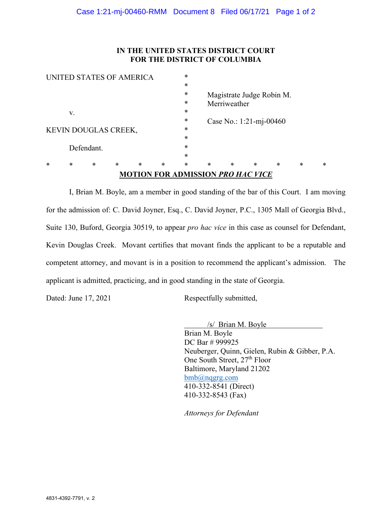#### **IN THE UNITED STATES DISTRICT COURT FOR THE DISTRICT OF COLUMBIA**

|                      |    |                          |        |        |        |        |        | <b>MOTION FOR ADMISSION PRO HAC VICE</b> |        |        |   |   |
|----------------------|----|--------------------------|--------|--------|--------|--------|--------|------------------------------------------|--------|--------|---|---|
| ж                    | *  | $\ast$                   | $\ast$ | $\ast$ | $\ast$ | *      | $\ast$ | $\ast$                                   | $\ast$ | $\ast$ | * | ∗ |
|                      |    |                          |        |        |        | $\ast$ |        |                                          |        |        |   |   |
|                      |    | Defendant.               |        |        |        | *      |        |                                          |        |        |   |   |
|                      |    |                          |        |        |        | *      |        |                                          |        |        |   |   |
| KEVIN DOUGLAS CREEK, |    |                          |        |        |        | *      |        |                                          |        |        |   |   |
|                      |    |                          |        |        |        | *      |        | Case No.: 1:21-mj-00460                  |        |        |   |   |
|                      | V. |                          |        |        |        | *      |        | Merriweather                             |        |        |   |   |
|                      |    |                          |        |        |        | *      |        |                                          |        |        |   |   |
|                      |    |                          |        |        |        | *      |        | Magistrate Judge Robin M.                |        |        |   |   |
|                      |    |                          |        |        |        | *      |        |                                          |        |        |   |   |
|                      |    | UNITED STATES OF AMERICA |        |        |        | *      |        |                                          |        |        |   |   |

 I, Brian M. Boyle, am a member in good standing of the bar of this Court. I am moving for the admission of: C. David Joyner, Esq., C. David Joyner, P.C., 1305 Mall of Georgia Blvd., Suite 130, Buford, Georgia 30519, to appear *pro hac vice* in this case as counsel for Defendant, Kevin Douglas Creek. Movant certifies that movant finds the applicant to be a reputable and competent attorney, and movant is in a position to recommend the applicant's admission. The applicant is admitted, practicing, and in good standing in the state of Georgia.

Dated: June 17, 2021 Respectfully submitted,

/s/ Brian M. Boyle

Brian M. Boyle DC Bar # 999925 Neuberger, Quinn, Gielen, Rubin & Gibber, P.A. One South Street, 27<sup>th</sup> Floor Baltimore, Maryland 21202 bmb@nqgrg.com 410-332-8541 (Direct) 410-332-8543 (Fax)

*Attorneys for Defendant*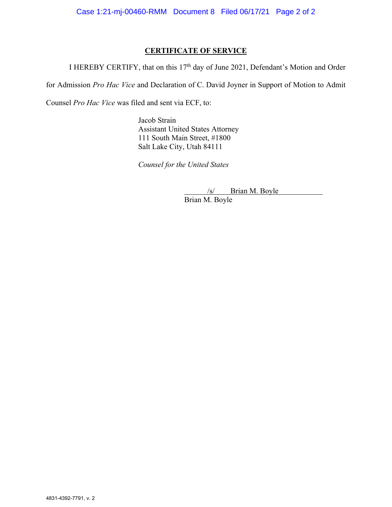## **CERTIFICATE OF SERVICE**

I HEREBY CERTIFY, that on this 17<sup>th</sup> day of June 2021, Defendant's Motion and Order

for Admission *Pro Hac Vice* and Declaration of C. David Joyner in Support of Motion to Admit

Counsel *Pro Hac Vice* was filed and sent via ECF, to:

Jacob Strain Assistant United States Attorney 111 South Main Street, #1800 Salt Lake City, Utah 84111

*Counsel for the United States* 

/s/ Brian M. Boyle

Brian M. Boyle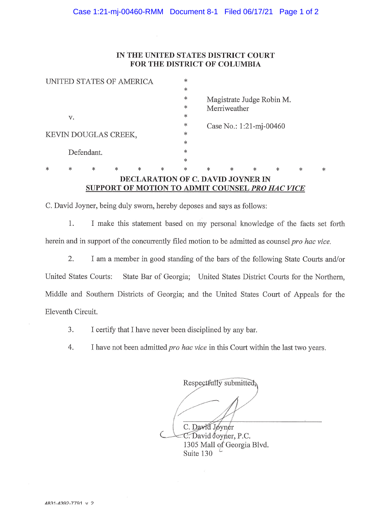#### Case 1:21-mj-00460-RMM Document 8-1 Filed 06/17/21 Page 1 of 2

#### IN THE UNITED STATES DISTRICT COURT FOR THE DISTRICT OF COLUMBIA

|                          |            |   |   |   |        |        |                           | SUPPORT OF MOTION TO ADMIT COUNSEL PRO HAC VICE |        |   |        |        |  |  |
|--------------------------|------------|---|---|---|--------|--------|---------------------------|-------------------------------------------------|--------|---|--------|--------|--|--|
|                          |            |   |   |   |        |        |                           | DECLARATION OF C. DAVID JOYNER IN               |        |   |        |        |  |  |
| $\ast$                   | *          | * | * | * | $\ast$ | *      | $\ast$                    | ж                                               | $\ast$ | * | $\ast$ | $\ast$ |  |  |
|                          |            |   |   |   |        | *      |                           |                                                 |        |   |        |        |  |  |
|                          | Defendant. |   |   |   |        | *      |                           |                                                 |        |   |        |        |  |  |
|                          |            |   |   |   |        | $\ast$ |                           |                                                 |        |   |        |        |  |  |
| KEVIN DOUGLAS CREEK,     |            |   |   |   |        | $\ast$ |                           |                                                 |        |   |        |        |  |  |
|                          |            |   |   |   |        | $\ast$ | Case No.: $1:21-mj-00460$ |                                                 |        |   |        |        |  |  |
|                          | V.         |   |   |   |        | *      |                           |                                                 |        |   |        |        |  |  |
|                          |            |   |   |   |        | *      | Merriweather              |                                                 |        |   |        |        |  |  |
|                          |            |   |   |   |        | *      |                           | Magistrate Judge Robin M.                       |        |   |        |        |  |  |
|                          |            |   |   |   |        | *      |                           |                                                 |        |   |        |        |  |  |
| UNITED STATES OF AMERICA |            |   |   |   |        | *      |                           |                                                 |        |   |        |        |  |  |

C. David Joyner, being duly sworn, hereby deposes and says as follows:

 $1.$ I make this statement based on my personal knowledge of the facts set forth herein and in support of the concurrently filed motion to be admitted as counsel pro hac vice.

2. I am a member in good standing of the bars of the following State Courts and/or United States Courts: State Bar of Georgia; United States District Courts for the Northern, Middle and Southern Districts of Georgia; and the United States Court of Appeals for the Eleventh Circuit.

- 3. I certify that I have never been disciplined by any bar.
- 4. I have not been admitted pro hac vice in this Court within the last two years.

Respectfully submitted, C. David Jøyner C. David Joyner, P.C. 1305 Mall of Georgia Blvd. Suite 130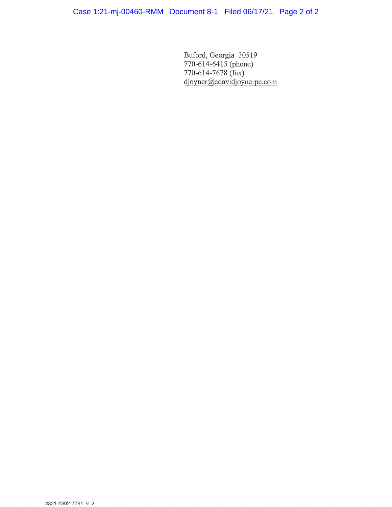Buford, Georgia 30519<br>770-614-6415 (phone)<br>770-614-7678 (fax)<br>djoyner@cdavidjoynerpc.com

 $\omega$ 

 $\alpha$